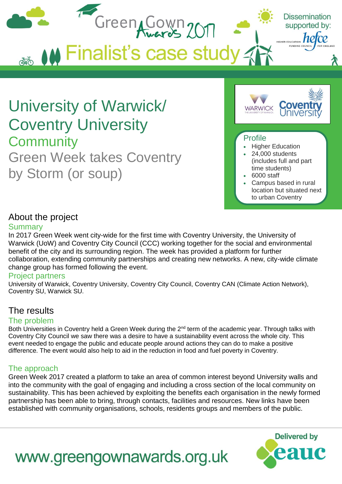

### About the project

### **Summary**

In 2017 Green Week went city-wide for the first time with Coventry University, the University of Warwick (UoW) and Coventry City Council (CCC) working together for the social and environmental benefit of the city and its surrounding region. The week has provided a platform for further collaboration, extending community partnerships and creating new networks. A new, city-wide climate change group has formed following the event.

### Project partners

University of Warwick, Coventry University, Coventry City Council, Coventry CAN (Climate Action Network), Coventry SU, Warwick SU.

### The results

### The problem

Both Universities in Coventry held a Green Week during the 2<sup>nd</sup> term of the academic year. Through talks with Coventry City Council we saw there was a desire to have a sustainability event across the whole city. This event needed to engage the public and educate people around actions they can do to make a positive difference. The event would also help to aid in the reduction in food and fuel poverty in Coventry.

### The approach

Green Week 2017 created a platform to take an area of common interest beyond University walls and into the community with the goal of engaging and including a cross section of the local community on sustainability. This has been achieved by exploiting the benefits each organisation in the newly formed partnership has been able to bring, through contacts, facilities and resources. New links have been established with community organisations, schools, residents groups and members of the public.

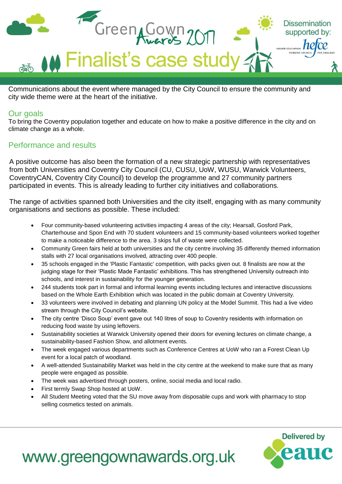

Communications about the event where managed by the City Council to ensure the community and city wide theme were at the heart of the initiative.

### Our goals

To bring the Coventry population together and educate on how to make a positive difference in the city and on climate change as a whole.

### Performance and results

A positive outcome has also been the formation of a new strategic partnership with representatives from both Universities and Coventry City Council (CU, CUSU, UoW, WUSU, Warwick Volunteers, CoventryCAN, Coventry City Council) to develop the programme and 27 community partners participated in events. This is already leading to further city initiatives and collaborations.

The range of activities spanned both Universities and the city itself, engaging with as many community organisations and sections as possible. These included:

- Four community-based volunteering activities impacting 4 areas of the city; Hearsall, Gosford Park, Charterhouse and Spon End with 70 student volunteers and 15 community-based volunteers worked together to make a noticeable difference to the area. 3 skips full of waste were collected.
- Community Green fairs held at both universities and the city centre involving 35 differently themed information stalls with 27 local organisations involved, attracting over 400 people.
- 35 schools engaged in the 'Plastic Fantastic' competition, with packs given out. 8 finalists are now at the judging stage for their 'Plastic Made Fantastic' exhibitions. This has strengthened University outreach into schools, and interest in sustainability for the younger generation.
- 244 students took part in formal and informal learning events including lectures and interactive discussions based on the Whole Earth Exhibition which was located in the public domain at Coventry University.
- 33 volunteers were involved in debating and planning UN policy at the Model Summit. This had a live video stream through the City Council's website.
- The city centre 'Disco Soup' event gave out 140 litres of soup to Coventry residents with information on reducing food waste by using leftovers.
- Sustainability societies at Warwick University opened their doors for evening lectures on climate change, a sustainability-based Fashion Show, and allotment events.
- The week engaged various departments such as Conference Centres at UoW who ran a Forest Clean Up event for a local patch of woodland.
- A well-attended Sustainability Market was held in the city centre at the weekend to make sure that as many people were engaged as possible.
- The week was advertised through posters, online, social media and local radio.
- First termly Swap Shop hosted at UoW.
- All Student Meeting voted that the SU move away from disposable cups and work with pharmacy to stop selling cosmetics tested on animals.

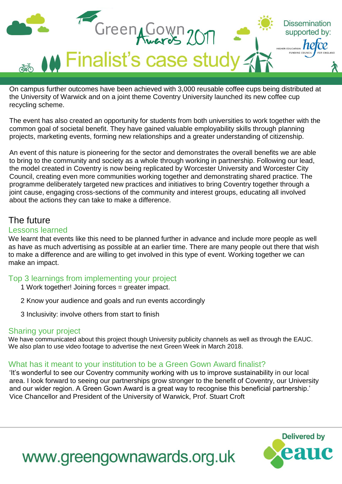

On campus further outcomes have been achieved with 3,000 reusable coffee cups being distributed at the University of Warwick and on a joint theme Coventry University launched its new coffee cup recycling scheme.

The event has also created an opportunity for students from both universities to work together with the common goal of societal benefit. They have gained valuable employability skills through planning projects, marketing events, forming new relationships and a greater understanding of citizenship.

An event of this nature is pioneering for the sector and demonstrates the overall benefits we are able to bring to the community and society as a whole through working in partnership. Following our lead, the model created in Coventry is now being replicated by Worcester University and Worcester City Council, creating even more communities working together and demonstrating shared practice. The programme deliberately targeted new practices and initiatives to bring Coventry together through a joint cause, engaging cross-sections of the community and interest groups, educating all involved about the actions they can take to make a difference.

### The future

#### Lessons learned

We learnt that events like this need to be planned further in advance and include more people as well as have as much advertising as possible at an earlier time. There are many people out there that wish to make a difference and are willing to get involved in this type of event. Working together we can make an impact.

### Top 3 learnings from implementing your project

- 1 Work together! Joining forces = greater impact.
- 2 Know your audience and goals and run events accordingly
- 3 Inclusivity: involve others from start to finish

### Sharing your project

We have communicated about this project though University publicity channels as well as through the EAUC. We also plan to use video footage to advertise the next Green Week in March 2018.

### What has it meant to your institution to be a Green Gown Award finalist?

'It's wonderful to see our Coventry community working with us to improve sustainability in our local area. I look forward to seeing our partnerships grow stronger to the benefit of Coventry, our University and our wider region. A Green Gown Award is a great way to recognise this beneficial partnership.' Vice Chancellor and President of the University of Warwick, Prof. Stuart Croft

# **Delivered by**